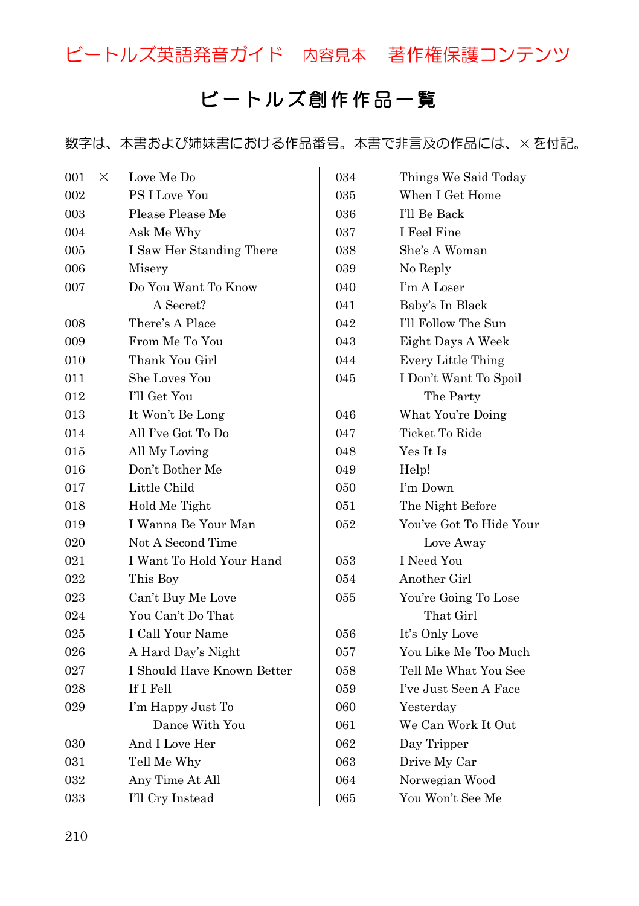ビートルズ英語発音ガイド 内容見本 著作権保護コンテンツ

## ビートルズ 創 作 作 品 一 覧

数字は、本書および姉妹書における作品番号。本書で非言及の作品には、×を付記。

| 001 | X | Love Me Do                 |  |
|-----|---|----------------------------|--|
| 002 |   | <b>PS I Love You</b>       |  |
| 003 |   | Please Please Me           |  |
| 004 |   | Ask Me Why                 |  |
| 005 |   | I Saw Her Standing There   |  |
| 006 |   | Misery                     |  |
| 007 |   | Do You Want To Know        |  |
|     |   | A Secret?                  |  |
| 008 |   | There's A Place            |  |
| 009 |   | From Me To You             |  |
| 010 |   | Thank You Girl             |  |
| 011 |   | She Loves You              |  |
| 012 |   | I'll Get You               |  |
| 013 |   | It Won't Be Long           |  |
| 014 |   | All I've Got To Do         |  |
| 015 |   | All My Loving              |  |
| 016 |   | Don't Bother Me            |  |
| 017 |   | Little Child               |  |
| 018 |   | Hold Me Tight              |  |
| 019 |   | I Wanna Be Your Man        |  |
| 020 |   | Not A Second Time          |  |
| 021 |   | I Want To Hold Your Hand   |  |
| 022 |   | This Boy                   |  |
| 023 |   | Can't Buy Me Love          |  |
| 024 |   | You Can't Do That          |  |
| 025 |   | I Call Your Name           |  |
| 026 |   | A Hard Day's Night         |  |
| 027 |   | I Should Have Known Better |  |
| 028 |   | If I Fell                  |  |
| 029 |   | I'm Happy Just To          |  |
|     |   | Dance With You             |  |
| 030 |   | And I Love Her             |  |
| 031 |   | Tell Me Why                |  |
| 032 |   | Any Time At All            |  |
| 033 |   | I'll Cry Instead           |  |

| 034 | Things We Said Today      |
|-----|---------------------------|
| 035 | When I Get Home           |
| 036 | I'll Be Back              |
| 037 | I Feel Fine               |
| 038 | She's A Woman             |
| 039 | No Reply                  |
| 040 | I'm A Loser               |
| 041 | Baby's In Black           |
| 042 | I'll Follow The Sun       |
| 043 | Eight Days A Week         |
| 044 | <b>Every Little Thing</b> |
| 045 | I Don't Want To Spoil     |
|     | The Party                 |
| 046 | What You're Doing         |
| 047 | Ticket To Ride            |
| 048 | Yes It Is                 |
| 049 | Help!                     |
| 050 | I'm Down                  |
| 051 | The Night Before          |
| 052 | You've Got To Hide Your   |
|     | Love Away                 |
| 053 | <b>I</b> Need You         |
| 054 | Another Girl              |
| 055 | You're Going To Lose      |
|     | That Girl                 |
| 056 | It's Only Love            |
| 057 | You Like Me Too Much      |
| 058 | Tell Me What You See      |
| 059 | I've Just Seen A Face     |
| 060 | Yesterday                 |
| 061 | We Can Work It Out        |
| 062 | Day Tripper               |
| 063 | Drive My Car              |
| 064 | Norwegian Wood            |
| 065 | You Won't See Me          |
|     |                           |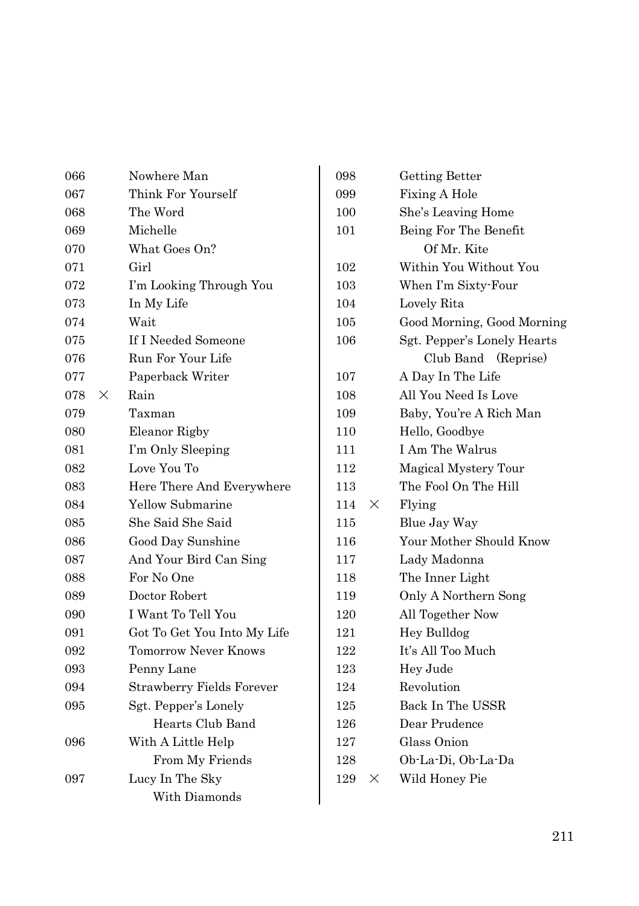| 066 |   | Nowhere Man                      |
|-----|---|----------------------------------|
| 067 |   | Think For Yourself               |
| 068 |   | The Word                         |
| 069 |   | Michelle                         |
| 070 |   | What Goes On?                    |
| 071 |   | Girl                             |
| 072 |   | I'm Looking Through You          |
| 073 |   | In My Life                       |
| 074 |   | Wait                             |
| 075 |   | If I Needed Someone              |
| 076 |   | Run For Your Life                |
| 077 |   | Paperback Writer                 |
| 078 | X | Rain                             |
| 079 |   | Taxman                           |
| 080 |   | Eleanor Rigby                    |
| 081 |   | I'm Only Sleeping                |
| 082 |   | Love You To                      |
| 083 |   | Here There And Everywhere        |
| 084 |   | Yellow Submarine                 |
| 085 |   | She Said She Said                |
| 086 |   | Good Day Sunshine                |
| 087 |   | And Your Bird Can Sing           |
| 088 |   | For No One                       |
| 089 |   | Doctor Robert                    |
| 090 |   | I Want To Tell You               |
| 091 |   | Got To Get You Into My Life      |
| 092 |   | <b>Tomorrow Never Knows</b>      |
| 093 |   | Penny Lane                       |
| 094 |   | <b>Strawberry Fields Forever</b> |
| 095 |   | Sgt. Pepper's Lonely             |
|     |   | Hearts Club Band                 |
| 096 |   | With A Little Help               |
|     |   | From My Friends                  |
| 097 |   | Lucy In The Sky                  |
|     |   | With Diamonds                    |

| 098      |                 | Getting Better              |  |
|----------|-----------------|-----------------------------|--|
| 099      |                 | Fixing A Hole               |  |
| 100      |                 | She's Leaving Home          |  |
| 101      |                 | Being For The Benefit       |  |
|          |                 | Of Mr. Kite                 |  |
| 102      |                 | Within You Without You      |  |
| 103      |                 | When I'm Sixty-Four         |  |
| 104      |                 | Lovely Rita                 |  |
| 105      |                 | Good Morning, Good Morning  |  |
| $^{106}$ |                 | Sgt. Pepper's Lonely Hearts |  |
|          |                 | Club Band (Reprise)         |  |
| 107      |                 | A Day In The Life           |  |
| 108      |                 | All You Need Is Love        |  |
| 109      |                 | Baby, You're A Rich Man     |  |
| 110      |                 | Hello, Goodbye              |  |
| 111      | I Am The Walrus |                             |  |
| 112      |                 | Magical Mystery Tour        |  |
| 113      |                 | The Fool On The Hill        |  |
| 114      | $\times$        | Flying                      |  |
| 115      |                 | Blue Jay Way                |  |
| 116      |                 | Your Mother Should Know     |  |
| 117      |                 | Lady Madonna                |  |
| 118      |                 | The Inner Light             |  |
| 119      |                 | Only A Northern Song        |  |
| 120      |                 | All Together Now            |  |
| 121      |                 | Hey Bulldog                 |  |
| 122      |                 | It's All Too Much           |  |
| 123      |                 | Hey Jude                    |  |
| 124      |                 | Revolution                  |  |
| 125      |                 | Back In The USSR            |  |
| 126      |                 | Dear Prudence               |  |
| 127      |                 | Glass Onion                 |  |
| 128      |                 | Ob-La-Di, Ob-La-Da          |  |
| 129      | ×               | Wild Honey Pie              |  |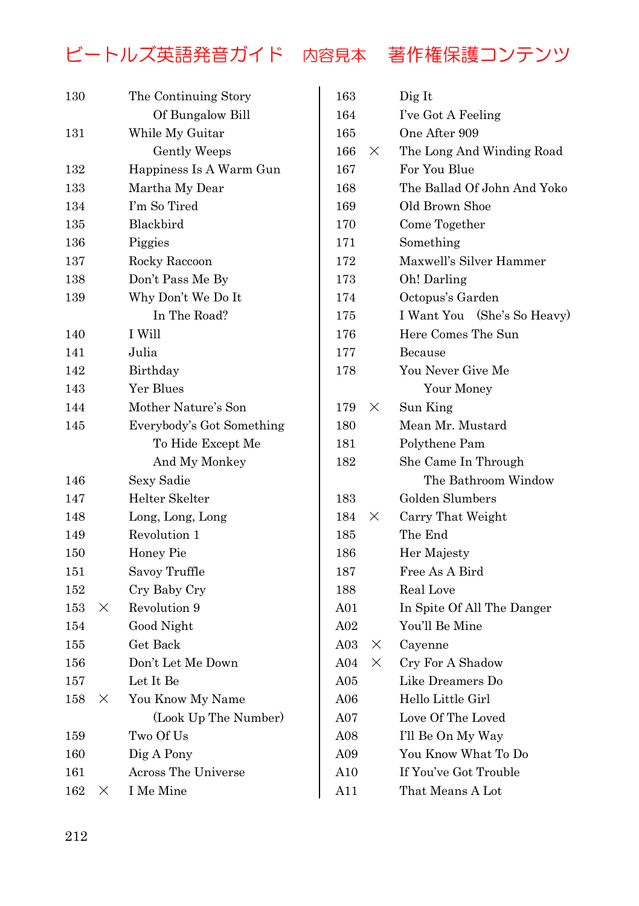## ビートルズ英語発音ガイド 内容見本 著作権保護コンテンツ

| 130 | The Continuing Story |                           |
|-----|----------------------|---------------------------|
|     |                      | Of Bungalow Bill          |
| 131 |                      | While My Guitar           |
|     |                      | Gently Weeps              |
| 132 |                      | Happiness Is A Warm Gun   |
| 133 |                      | Martha My Dear            |
| 134 |                      | I'm So Tired              |
| 135 |                      | Blackbird                 |
| 136 |                      | Piggies                   |
| 137 |                      | Rocky Raccoon             |
| 138 |                      | Don't Pass Me By          |
| 139 |                      | Why Don't We Do It        |
|     |                      | In The Road?              |
| 140 |                      | I Will                    |
| 141 |                      | Julia                     |
| 142 |                      | Birthday                  |
| 143 |                      | Yer Blues                 |
| 144 |                      | Mother Nature's Son       |
| 145 |                      | Everybody's Got Something |
|     |                      | To Hide Except Me         |
|     |                      | And My Monkey             |
| 146 |                      | Sexy Sadie                |
| 147 |                      | Helter Skelter            |
| 148 |                      | Long, Long, Long          |
| 149 |                      | Revolution 1              |
| 150 |                      | Honey Pie                 |
| 151 |                      | Savoy Truffle             |
| 152 |                      | Cry Baby Cry              |
| 153 | ×                    | Revolution 9              |
| 154 |                      | Good Night                |
| 155 |                      | Get Back                  |
| 156 |                      | Don't Let Me Down         |
| 157 |                      | Let It Be                 |
| 158 | ×                    | You Know My Name          |
|     |                      | (Look Up The Number)      |
| 159 |                      | Two Of Us                 |
| 160 |                      | Dig A Pony                |
| 161 |                      | Across The Universe       |
| 162 | $\times$             | I Me Mine                 |

| 163      |          | Dig It                      |  |  |
|----------|----------|-----------------------------|--|--|
| 164      |          | I've Got A Feeling          |  |  |
| 165      |          | One After 909               |  |  |
| $166\,$  | X        | The Long And Winding Road   |  |  |
| $^{167}$ |          | For You Blue                |  |  |
| 168      |          | The Ballad Of John And Yoko |  |  |
| 169      |          | Old Brown Shoe              |  |  |
| 170      |          | Come Together               |  |  |
| 171      |          | Something                   |  |  |
| 172      |          | Maxwell's Silver Hammer     |  |  |
| 173      |          | Oh! Darling                 |  |  |
| 174      |          | Octopus's Garden            |  |  |
| 175      |          | I Want You (She's So Heavy) |  |  |
| 176      |          | Here Comes The Sun          |  |  |
| 177      |          | Because                     |  |  |
| 178      |          | You Never Give Me           |  |  |
|          |          | Your Money                  |  |  |
| 179      | ×        | Sun King                    |  |  |
| 180      |          | Mean Mr. Mustard            |  |  |
| 181      |          | Polythene Pam               |  |  |
| 182      |          | She Came In Through         |  |  |
|          |          | The Bathroom Window         |  |  |
| 183      |          | Golden Slumbers             |  |  |
| 184      | $\times$ | Carry That Weight           |  |  |
| 185      |          | The End                     |  |  |
| 186      |          | Her Majesty                 |  |  |
| 187      |          | Free As A Bird              |  |  |
| 188      |          | Real Love                   |  |  |
| A01      |          | In Spite Of All The Danger  |  |  |
| A02      |          | You'll Be Mine              |  |  |
| A03      | X        | Cayenne                     |  |  |
| A04      | $\times$ | Cry For A Shadow            |  |  |
| A05      |          | Like Dreamers Do            |  |  |
| A06      |          | Hello Little Girl           |  |  |
| A07      |          | Love Of The Loved           |  |  |
| A08      |          | I'll Be On My Way           |  |  |
| A09      |          | You Know What To Do         |  |  |
| A10      |          | If You've Got Trouble       |  |  |
| A11      |          | That Means A Lot            |  |  |